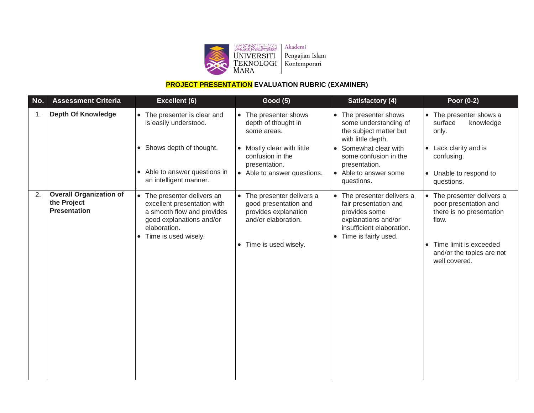

### **PROJECT PRESENTATION EVALUATION RUBRIC (EXAMINER)**

| No.            | <b>Assessment Criteria</b>                                           | Excellent (6)                                                                                                                                                           | <b>Good (5)</b>                                                                                                                                               | Satisfactory (4)                                                                                                                                                                                                             | Poor (0-2)                                                                                                                                                     |
|----------------|----------------------------------------------------------------------|-------------------------------------------------------------------------------------------------------------------------------------------------------------------------|---------------------------------------------------------------------------------------------------------------------------------------------------------------|------------------------------------------------------------------------------------------------------------------------------------------------------------------------------------------------------------------------------|----------------------------------------------------------------------------------------------------------------------------------------------------------------|
| $\mathbf{1}$ . | <b>Depth Of Knowledge</b>                                            | • The presenter is clear and<br>is easily understood.<br>• Shows depth of thought.<br>Able to answer questions in<br>$\bullet$<br>an intelligent manner.                | • The presenter shows<br>depth of thought in<br>some areas.<br>• Mostly clear with little<br>confusion in the<br>presentation.<br>• Able to answer questions. | The presenter shows<br>$\bullet$<br>some understanding of<br>the subject matter but<br>with little depth.<br>Somewhat clear with<br>$\bullet$<br>some confusion in the<br>presentation.<br>Able to answer some<br>questions. | • The presenter shows a<br>surface<br>knowledge<br>only.<br>• Lack clarity and is<br>confusing.<br>• Unable to respond to<br>questions.                        |
| 2.             | <b>Overall Organization of</b><br>the Project<br><b>Presentation</b> | The presenter delivers an<br>excellent presentation with<br>a smooth flow and provides<br>good explanations and/or<br>elaboration.<br>Time is used wisely.<br>$\bullet$ | • The presenter delivers a<br>good presentation and<br>provides explanation<br>and/or elaboration.<br>• Time is used wisely.                                  | The presenter delivers a<br>$\bullet$<br>fair presentation and<br>provides some<br>explanations and/or<br>insufficient elaboration.<br>Time is fairly used.<br>$\bullet$                                                     | The presenter delivers a<br>poor presentation and<br>there is no presentation<br>flow.<br>Time limit is exceeded<br>and/or the topics are not<br>well covered. |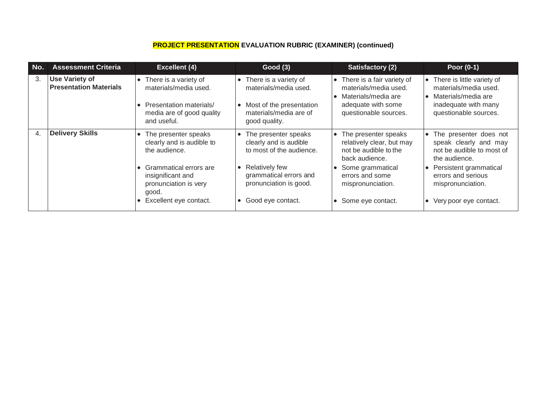### **PROJECT PRESENTATION EVALUATION RUBRIC (EXAMINER) (continued)**

| No. | <b>Assessment Criteria</b>                             | <b>Excellent (4)</b>                                                                                                  | <b>Good (3)</b>                                                                                                                                 | Satisfactory (2)                                                                                                            | Poor (0-1)                                                                                                                    |
|-----|--------------------------------------------------------|-----------------------------------------------------------------------------------------------------------------------|-------------------------------------------------------------------------------------------------------------------------------------------------|-----------------------------------------------------------------------------------------------------------------------------|-------------------------------------------------------------------------------------------------------------------------------|
| 3.  | <b>Use Variety of</b><br><b>Presentation Materials</b> | There is a variety of<br>materials/media used.<br>Presentation materials/<br>media are of good quality<br>and useful. | There is a variety of<br>$\bullet$<br>materials/media used.<br>Most of the presentation<br>$\bullet$<br>materials/media are of<br>good quality. | • There is a fair variety of<br>materials/media used.<br>Materials/media are<br>adequate with some<br>questionable sources. | • There is little variety of<br>materials/media used.<br>Materials/media are<br>inadequate with many<br>questionable sources. |
| 4.  | <b>Delivery Skills</b>                                 | The presenter speaks<br>clearly and is audible to<br>the audience.                                                    | • The presenter speaks<br>clearly and is audible<br>to most of the audience.                                                                    | • The presenter speaks<br>relatively clear, but may<br>not be audible to the<br>back audience.                              | • The presenter does not<br>speak clearly and may<br>not be audible to most of<br>the audience.                               |
|     |                                                        | Grammatical errors are<br>insignificant and<br>pronunciation is very<br>good.                                         | <b>Relatively few</b><br>$\bullet$<br>grammatical errors and<br>pronunciation is good.                                                          | Some grammatical<br>errors and some<br>mispronunciation.                                                                    | Persistent grammatical<br>errors and serious<br>mispronunciation.                                                             |
|     |                                                        | Excellent eye contact.                                                                                                | Good eye contact.<br>$\bullet$                                                                                                                  | Some eye contact.                                                                                                           | • Very poor eye contact.                                                                                                      |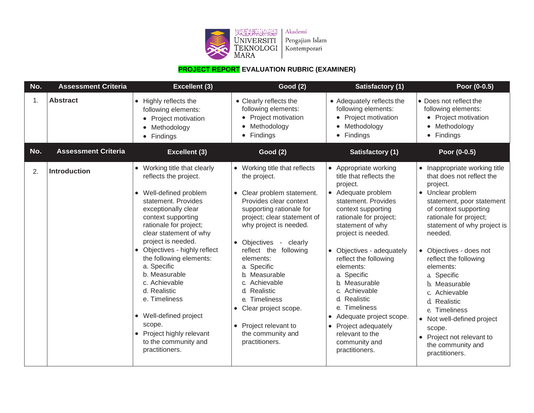

## **PROJECT REPORT EVALUATION RUBRIC (EXAMINER)**

| No. | <b>Assessment Criteria</b> | Excellent (3)                                                                                                                                                                                                                                                                                                                                                                                                                                                                          | <b>Good (2)</b>                                                                                                                                                                                                                                                                                                                                                                                                                                            | <b>Satisfactory (1)</b>                                                                                                                                                                                                                                                                                                                                                                                                                                            | Poor (0-0.5)                                                                                                                                                                                                                                                                                                                                                                                                                                                                         |
|-----|----------------------------|----------------------------------------------------------------------------------------------------------------------------------------------------------------------------------------------------------------------------------------------------------------------------------------------------------------------------------------------------------------------------------------------------------------------------------------------------------------------------------------|------------------------------------------------------------------------------------------------------------------------------------------------------------------------------------------------------------------------------------------------------------------------------------------------------------------------------------------------------------------------------------------------------------------------------------------------------------|--------------------------------------------------------------------------------------------------------------------------------------------------------------------------------------------------------------------------------------------------------------------------------------------------------------------------------------------------------------------------------------------------------------------------------------------------------------------|--------------------------------------------------------------------------------------------------------------------------------------------------------------------------------------------------------------------------------------------------------------------------------------------------------------------------------------------------------------------------------------------------------------------------------------------------------------------------------------|
| 1.  | <b>Abstract</b>            | • Highly reflects the<br>following elements:<br>Project motivation<br>• Methodology<br>• Findings                                                                                                                                                                                                                                                                                                                                                                                      | • Clearly reflects the<br>following elements:<br>Project motivation<br>Methodology<br>Findings<br>$\bullet$                                                                                                                                                                                                                                                                                                                                                | • Adequately reflects the<br>following elements:<br>• Project motivation<br>Methodology<br>Findings<br>$\bullet$                                                                                                                                                                                                                                                                                                                                                   | • Does not reflect the<br>following elements:<br>• Project motivation<br>Methodology<br>$\bullet$<br>• Findings                                                                                                                                                                                                                                                                                                                                                                      |
| No. | <b>Assessment Criteria</b> | <b>Excellent (3)</b>                                                                                                                                                                                                                                                                                                                                                                                                                                                                   | <b>Good (2)</b>                                                                                                                                                                                                                                                                                                                                                                                                                                            | Satisfactory (1)                                                                                                                                                                                                                                                                                                                                                                                                                                                   | Poor (0-0.5)                                                                                                                                                                                                                                                                                                                                                                                                                                                                         |
| 2.  | <b>Introduction</b>        | • Working title that clearly<br>reflects the project.<br>• Well-defined problem<br>statement. Provides<br>exceptionally clear<br>context supporting<br>rationale for project;<br>clear statement of why<br>project is needed.<br>• Objectives - highly reflect<br>the following elements:<br>a. Specific<br>b. Measurable<br>c. Achievable<br>d. Realistic<br>e. Timeliness<br>• Well-defined project<br>scope.<br>• Project highly relevant<br>to the community and<br>practitioners. | • Working title that reflects<br>the project.<br>• Clear problem statement.<br>Provides clear context<br>supporting rationale for<br>project; clear statement of<br>why project is needed.<br>• Objectives<br>clearly<br>$\sim$<br>reflect the following<br>elements:<br>a. Specific<br>b. Measurable<br>Achievable<br>Realistic<br>d.<br>e. Timeliness<br>Clear project scope.<br>Project relevant to<br>$\bullet$<br>the community and<br>practitioners. | • Appropriate working<br>title that reflects the<br>project.<br>• Adequate problem<br>statement. Provides<br>context supporting<br>rationale for project;<br>statement of why<br>project is needed.<br>• Objectives - adequately<br>reflect the following<br>elements:<br>a Specific<br>b. Measurable<br>c. Achievable<br>d. Realistic<br>e. Timeliness<br>• Adequate project scope.<br>• Project adequately<br>relevant to the<br>community and<br>practitioners. | • Inappropriate working title<br>that does not reflect the<br>project.<br>• Unclear problem<br>statement, poor statement<br>of context supporting<br>rationale for project;<br>statement of why project is<br>needed.<br>• Objectives - does not<br>reflect the following<br>elements:<br>a. Specific<br>b. Measurable<br>c. Achievable<br>d. Realistic<br>e. Timeliness<br>• Not well-defined project<br>scope.<br>• Project not relevant to<br>the community and<br>practitioners. |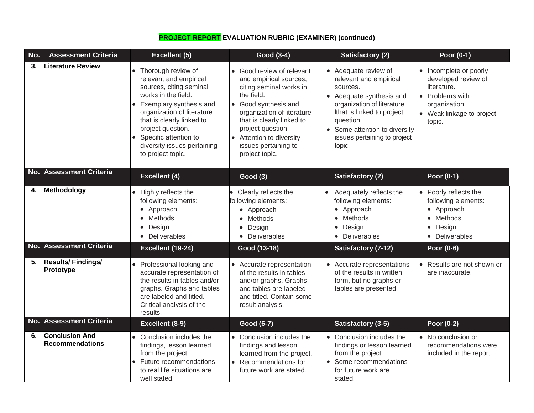| No. | <b>Assessment Criteria</b>               | Excellent (5)                                                                                                                                                                                                                                                                            | Good (3-4)                                                                                                                                                                                                                                                                 | <b>Satisfactory (2)</b>                                                                                                                                                                                                                | Poor (0-1)                                                                                                                              |
|-----|------------------------------------------|------------------------------------------------------------------------------------------------------------------------------------------------------------------------------------------------------------------------------------------------------------------------------------------|----------------------------------------------------------------------------------------------------------------------------------------------------------------------------------------------------------------------------------------------------------------------------|----------------------------------------------------------------------------------------------------------------------------------------------------------------------------------------------------------------------------------------|-----------------------------------------------------------------------------------------------------------------------------------------|
| 3.  | <b>Literature Review</b>                 | • Thorough review of<br>relevant and empirical<br>sources, citing seminal<br>works in the field.<br>Exemplary synthesis and<br>organization of literature<br>that is clearly linked to<br>project question.<br>Specific attention to<br>diversity issues pertaining<br>to project topic. | • Good review of relevant<br>and empirical sources,<br>citing seminal works in<br>the field.<br>• Good synthesis and<br>organization of literature<br>that is clearly linked to<br>project question.<br>• Attention to diversity<br>issues pertaining to<br>project topic. | • Adequate review of<br>relevant and empirical<br>sources.<br>Adequate synthesis and<br>organization of literature<br>Ithat is linked to project<br>question.<br>Some attention to diversity<br>issues pertaining to project<br>topic. | • Incomplete or poorly<br>developed review of<br>literature.<br>• Problems with<br>organization.<br>• Weak linkage to project<br>topic. |
|     | <b>No. Assessment Criteria</b>           | <b>Excellent (4)</b>                                                                                                                                                                                                                                                                     | <b>Good (3)</b>                                                                                                                                                                                                                                                            | <b>Satisfactory (2)</b>                                                                                                                                                                                                                | Poor (0-1)                                                                                                                              |
| 4.  | Methodology                              | • Highly reflects the<br>following elements:<br>• Approach<br>Methods<br>• Design<br>• Deliverables                                                                                                                                                                                      | Clearly reflects the<br>following elements:<br>• Approach<br>Methods<br>Design<br>$\bullet$<br>Deliverables                                                                                                                                                                | Adequately reflects the<br>following elements:<br>• Approach<br>• Methods<br>Design<br>$\bullet$<br>• Deliverables                                                                                                                     | • Poorly reflects the<br>following elements:<br>• Approach<br>• Methods<br>• Design<br>• Deliverables                                   |
|     | No. Assessment Criteria                  | Excellent (19-24)                                                                                                                                                                                                                                                                        | Good (13-18)                                                                                                                                                                                                                                                               | <b>Satisfactory (7-12)</b>                                                                                                                                                                                                             | Poor (0-6)                                                                                                                              |
| 5.  | <b>Results/Findings/</b><br>Prototype    | • Professional looking and<br>accurate representation of<br>the results in tables and/or<br>graphs. Graphs and tables<br>are labeled and titled.<br>Critical analysis of the<br>results.                                                                                                 | • Accurate representation<br>of the results in tables<br>and/or graphs. Graphs<br>and tables are labeled<br>and titled. Contain some<br>result analysis.                                                                                                                   | • Accurate representations<br>of the results in written<br>form, but no graphs or<br>tables are presented.                                                                                                                             | • Results are not shown or<br>are inaccurate.                                                                                           |
|     | No. Assessment Criteria                  | Excellent (8-9)                                                                                                                                                                                                                                                                          | Good (6-7)                                                                                                                                                                                                                                                                 | Satisfactory (3-5)                                                                                                                                                                                                                     | Poor (0-2)                                                                                                                              |
| 6.  | <b>Conclusion And</b><br>Recommendations | • Conclusion includes the<br>findings, lesson learned<br>from the project.<br>Future recommendations<br>to real life situations are<br>well stated.                                                                                                                                      | • Conclusion includes the<br>findings and lesson<br>learned from the project.<br>• Recommendations for<br>future work are stated.                                                                                                                                          | • Conclusion includes the<br>findings or lesson learned<br>from the project.<br>Some recommendations<br>for future work are<br>stated.                                                                                                 | • No conclusion or<br>recommendations were<br>included in the report.                                                                   |

## **PROJECT REPORT EVALUATION RUBRIC (EXAMINER) (continued)**